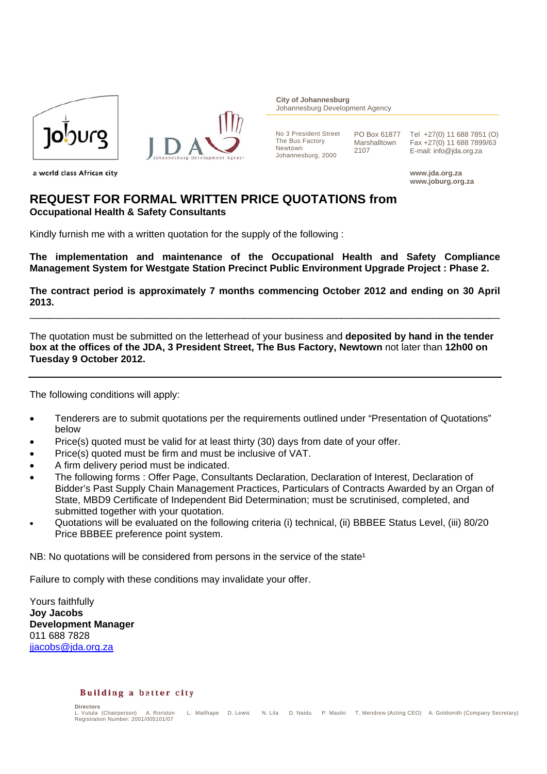

a world class African city



**City of Johannesburg** Johannesburg Development Agency

No 3 President Street The Bus Factory Newtown Johannesburg, 2000

PO Box 61877 Marshalltown 2107

Tel +27(0) 11 688 7851 (O) Fax +27(0) 11 688 7899/63 E-mail: info@jda.org.za

www.jda.org.za www.joburg.org.za

# **REQUEST FOR FORMAL WRITTEN PRICE QUOTATIONS from Occupational Health & Safety Consultants**

Kindly furnish me with a written quotation for the supply of the following:

The implementation and maintenance of the Occupational Health and Safety Compliance Management System for Westgate Station Precinct Public Environment Upgrade Project : Phase 2.

The contract period is approximately 7 months commencing October 2012 and ending on 30 April 2013.

The quotation must be submitted on the letterhead of your business and deposited by hand in the tender box at the offices of the JDA, 3 President Street. The Bus Factory, Newtown not later than 12h00 on Tuesday 9 October 2012.

The following conditions will apply:

- Tenderers are to submit quotations per the requirements outlined under "Presentation of Quotations"  $\bullet$ helow
- Price(s) quoted must be valid for at least thirty (30) days from date of your offer.
- Price(s) quoted must be firm and must be inclusive of VAT.
- A firm delivery period must be indicated.
- The following forms: Offer Page, Consultants Declaration, Declaration of Interest, Declaration of Bidder's Past Supply Chain Management Practices, Particulars of Contracts Awarded by an Organ of State, MBD9 Certificate of Independent Bid Determination: must be scrutinised, completed, and submitted together with your quotation.
- Quotations will be evaluated on the following criteria (i) technical, (ii) BBBEE Status Level, (iii) 80/20 Price BBBEE preference point system.

NB: No quotations will be considered from persons in the service of the state<sup>1</sup>

Failure to comply with these conditions may invalidate your offer.

Yours faithfully **Jov Jacobs Development Manager** 011 688 7828 jjacobs@jda.org.za

#### Building a better city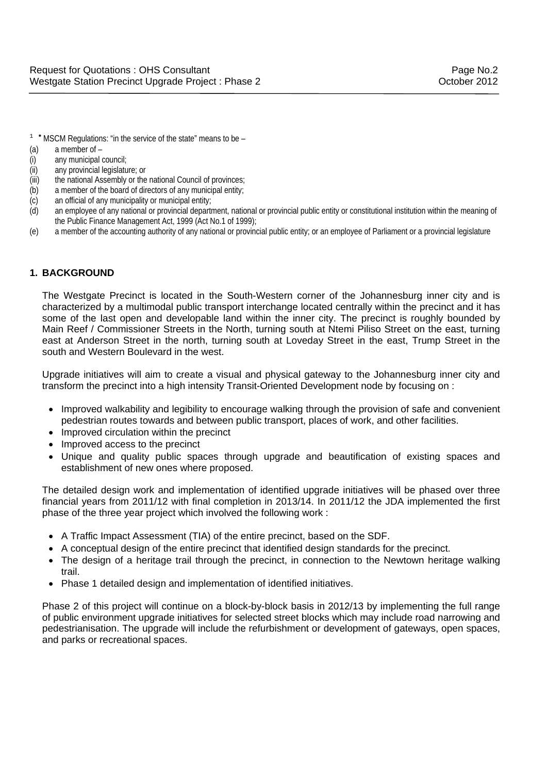- $1$  \* MSCM Regulations: "in the service of the state" means to be  $-$
- (a) a member of –
- (i) any municipal council;
- (ii) any provincial legislature; or
- (iii) the national Assembly or the national Council of provinces;
- (b) a member of the board of directors of any municipal entity;
- (c) an official of any municipality or municipal entity;
- (d) an employee of any national or provincial department, national or provincial public entity or constitutional institution within the meaning of the Public Finance Management Act, 1999 (Act No.1 of 1999);
- (e) a member of the accounting authority of any national or provincial public entity; or an employee of Parliament or a provincial legislature

### **1. BACKGROUND**

The Westgate Precinct is located in the South-Western corner of the Johannesburg inner city and is characterized by a multimodal public transport interchange located centrally within the precinct and it has some of the last open and developable land within the inner city. The precinct is roughly bounded by Main Reef / Commissioner Streets in the North, turning south at Ntemi Piliso Street on the east, turning east at Anderson Street in the north, turning south at Loveday Street in the east, Trump Street in the south and Western Boulevard in the west.

Upgrade initiatives will aim to create a visual and physical gateway to the Johannesburg inner city and transform the precinct into a high intensity Transit-Oriented Development node by focusing on :

- Improved walkability and legibility to encourage walking through the provision of safe and convenient pedestrian routes towards and between public transport, places of work, and other facilities.
- Improved circulation within the precinct
- Improved access to the precinct
- Unique and quality public spaces through upgrade and beautification of existing spaces and establishment of new ones where proposed.

The detailed design work and implementation of identified upgrade initiatives will be phased over three financial years from 2011/12 with final completion in 2013/14. In 2011/12 the JDA implemented the first phase of the three year project which involved the following work :

- A Traffic Impact Assessment (TIA) of the entire precinct, based on the SDF.
- A conceptual design of the entire precinct that identified design standards for the precinct.
- The design of a heritage trail through the precinct, in connection to the Newtown heritage walking trail.
- Phase 1 detailed design and implementation of identified initiatives.

Phase 2 of this project will continue on a block-by-block basis in 2012/13 by implementing the full range of public environment upgrade initiatives for selected street blocks which may include road narrowing and pedestrianisation. The upgrade will include the refurbishment or development of gateways, open spaces, and parks or recreational spaces.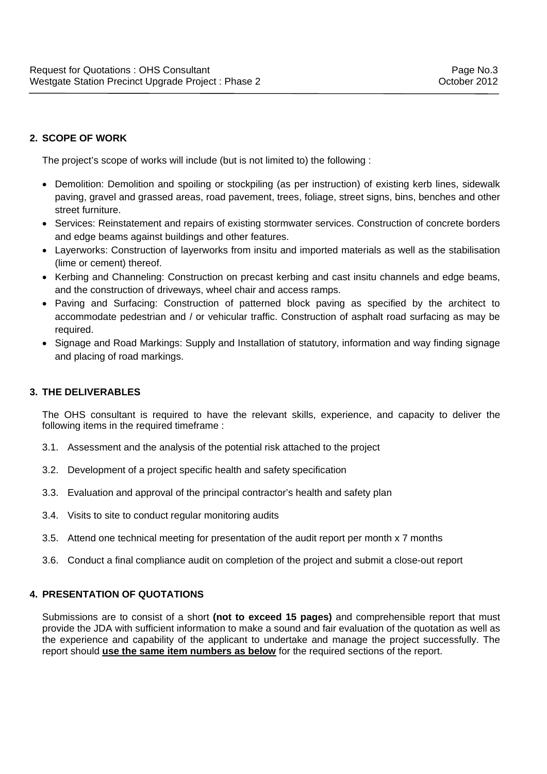# **2. SCOPE OF WORK**

The project's scope of works will include (but is not limited to) the following :

- Demolition: Demolition and spoiling or stockpiling (as per instruction) of existing kerb lines, sidewalk paving, gravel and grassed areas, road pavement, trees, foliage, street signs, bins, benches and other street furniture.
- Services: Reinstatement and repairs of existing stormwater services. Construction of concrete borders and edge beams against buildings and other features.
- Layerworks: Construction of layerworks from insitu and imported materials as well as the stabilisation (lime or cement) thereof.
- Kerbing and Channeling: Construction on precast kerbing and cast insitu channels and edge beams, and the construction of driveways, wheel chair and access ramps.
- Paving and Surfacing: Construction of patterned block paving as specified by the architect to accommodate pedestrian and / or vehicular traffic. Construction of asphalt road surfacing as may be required.
- Signage and Road Markings: Supply and Installation of statutory, information and way finding signage and placing of road markings.

### **3. THE DELIVERABLES**

The OHS consultant is required to have the relevant skills, experience, and capacity to deliver the following items in the required timeframe :

- 3.1. Assessment and the analysis of the potential risk attached to the project
- 3.2. Development of a project specific health and safety specification
- 3.3. Evaluation and approval of the principal contractor's health and safety plan
- 3.4. Visits to site to conduct regular monitoring audits
- 3.5. Attend one technical meeting for presentation of the audit report per month x 7 months
- 3.6. Conduct a final compliance audit on completion of the project and submit a close-out report

### **4. PRESENTATION OF QUOTATIONS**

Submissions are to consist of a short **(not to exceed 15 pages)** and comprehensible report that must provide the JDA with sufficient information to make a sound and fair evaluation of the quotation as well as the experience and capability of the applicant to undertake and manage the project successfully. The report should **use the same item numbers as below** for the required sections of the report.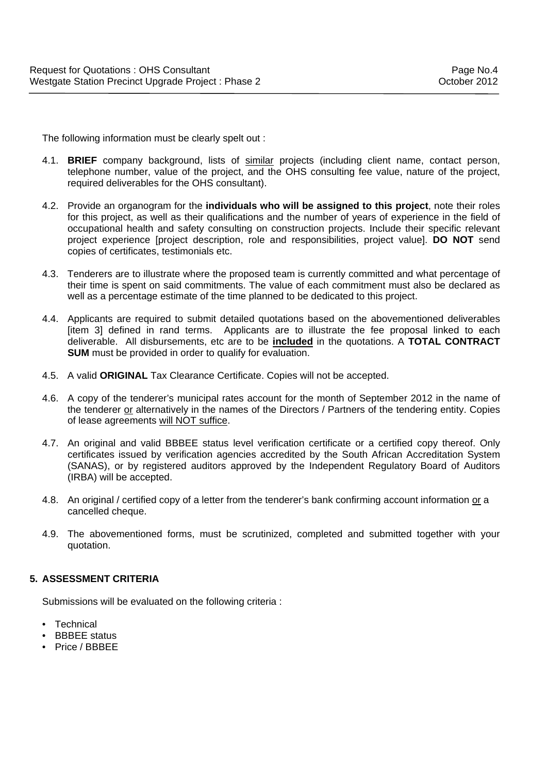The following information must be clearly spelt out :

- 4.1. **BRIEF** company background, lists of similar projects (including client name, contact person, telephone number, value of the project, and the OHS consulting fee value, nature of the project, required deliverables for the OHS consultant).
- 4.2. Provide an organogram for the **individuals who will be assigned to this project**, note their roles for this project, as well as their qualifications and the number of years of experience in the field of occupational health and safety consulting on construction projects. Include their specific relevant project experience [project description, role and responsibilities, project value]. **DO NOT** send copies of certificates, testimonials etc.
- 4.3. Tenderers are to illustrate where the proposed team is currently committed and what percentage of their time is spent on said commitments. The value of each commitment must also be declared as well as a percentage estimate of the time planned to be dedicated to this project.
- 4.4. Applicants are required to submit detailed quotations based on the abovementioned deliverables [item 3] defined in rand terms. Applicants are to illustrate the fee proposal linked to each deliverable. All disbursements, etc are to be **included** in the quotations. A **TOTAL CONTRACT SUM** must be provided in order to qualify for evaluation.
- 4.5. A valid **ORIGINAL** Tax Clearance Certificate. Copies will not be accepted.
- 4.6. A copy of the tenderer's municipal rates account for the month of September 2012 in the name of the tenderer or alternatively in the names of the Directors / Partners of the tendering entity. Copies of lease agreements will NOT suffice.
- 4.7. An original and valid BBBEE status level verification certificate or a certified copy thereof. Only certificates issued by verification agencies accredited by the South African Accreditation System (SANAS), or by registered auditors approved by the Independent Regulatory Board of Auditors (IRBA) will be accepted.
- 4.8. An original / certified copy of a letter from the tenderer's bank confirming account information or a cancelled cheque.
- 4.9. The abovementioned forms, must be scrutinized, completed and submitted together with your quotation.

## **5. ASSESSMENT CRITERIA**

Submissions will be evaluated on the following criteria :

- **Technical**
- **BBBEE** status
- Price / BBBEE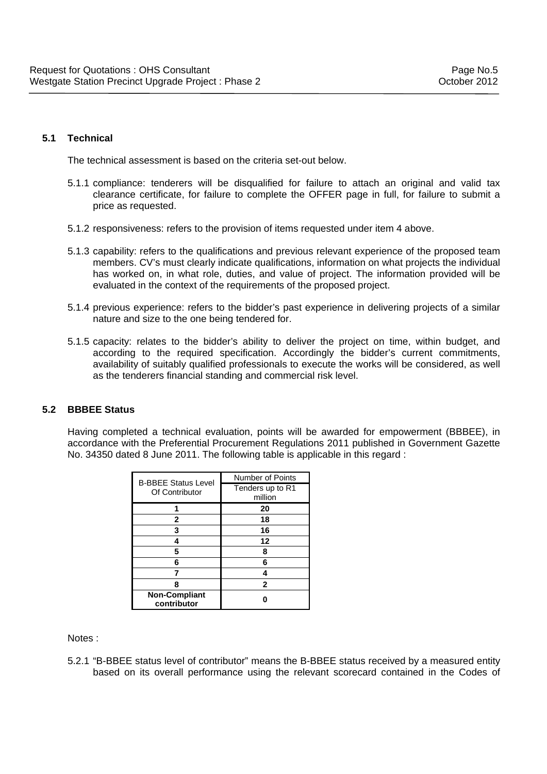#### **5.1 Technical**

The technical assessment is based on the criteria set-out below.

- 5.1.1 compliance: tenderers will be disqualified for failure to attach an original and valid tax clearance certificate, for failure to complete the OFFER page in full, for failure to submit a price as requested.
- 5.1.2 responsiveness: refers to the provision of items requested under item 4 above.
- 5.1.3 capability: refers to the qualifications and previous relevant experience of the proposed team members. CV's must clearly indicate qualifications, information on what projects the individual has worked on, in what role, duties, and value of project. The information provided will be evaluated in the context of the requirements of the proposed project.
- 5.1.4 previous experience: refers to the bidder's past experience in delivering projects of a similar nature and size to the one being tendered for.
- 5.1.5 capacity: relates to the bidder's ability to deliver the project on time, within budget, and according to the required specification. Accordingly the bidder's current commitments, availability of suitably qualified professionals to execute the works will be considered, as well as the tenderers financial standing and commercial risk level.

#### **5.2 BBBEE Status**

Having completed a technical evaluation, points will be awarded for empowerment (BBBEE), in accordance with the Preferential Procurement Regulations 2011 published in Government Gazette No. 34350 dated 8 June 2011. The following table is applicable in this regard :

| <b>B-BBEE Status Level</b><br>Of Contributor | Number of Points            |
|----------------------------------------------|-----------------------------|
|                                              | Tenders up to R1<br>million |
|                                              | 20                          |
| 2                                            | 18                          |
| 3                                            | 16                          |
|                                              | 12                          |
| 5                                            | 8                           |
| 6                                            | 6                           |
|                                              |                             |
| ឧ                                            | 2                           |
| <b>Non-Compliant</b><br>contributor          |                             |

Notes :

5.2.1 "B-BBEE status level of contributor" means the B-BBEE status received by a measured entity based on its overall performance using the relevant scorecard contained in the Codes of